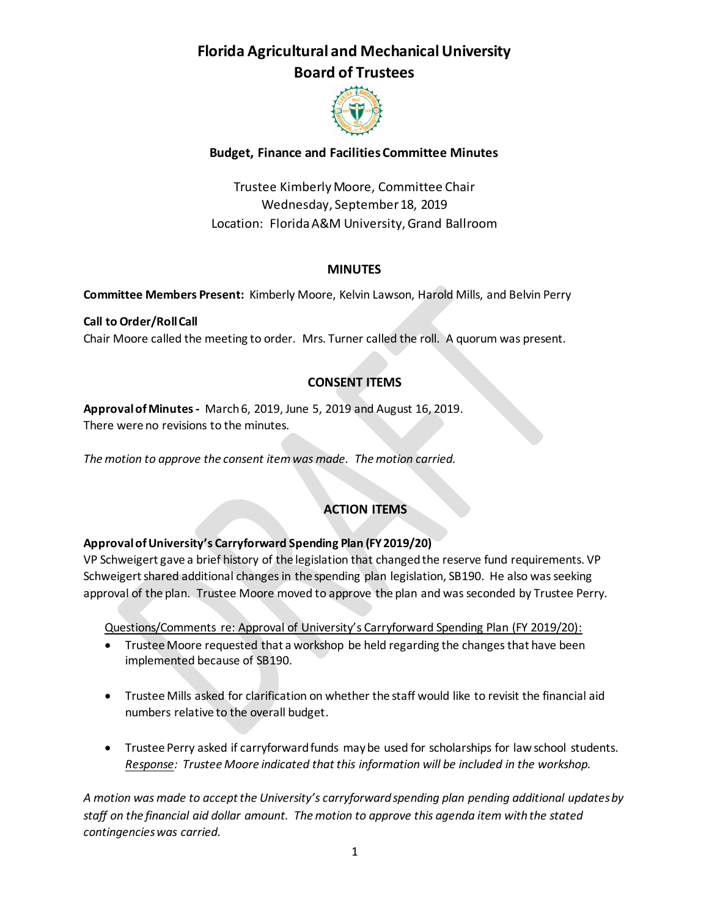

## **Budget, Finance and Facilities Committee Minutes**

Trustee Kimberly Moore, Committee Chair Wednesday, September 18, 2019 Location: Florida A&M University, Grand Ballroom

## **MINUTES**

**Committee Members Present:** Kimberly Moore, Kelvin Lawson, Harold Mills, and Belvin Perry

**Call to Order/Roll Call** Chair Moore called the meeting to order. Mrs. Turner called the roll. A quorum was present.

## **CONSENT ITEMS**

**Approval of Minutes-** March 6, 2019, June 5, 2019 and August 16, 2019. There were no revisions to the minutes.

*The motion to approve the consent item was made. The motion carried.* 

# **ACTION ITEMS**

## **Approval of University's Carryforward Spending Plan (FY 2019/20)**

VP Schweigert gave a brief history of the legislation that changed the reserve fund requirements. VP Schweigert shared additional changes in the spending plan legislation, SB190. He also was seeking approval of the plan. Trustee Moore moved to approve the plan and was seconded by Trustee Perry.

Questions/Comments re: Approval of University's Carryforward Spending Plan (FY 2019/20):

- Trustee Moore requested that a workshop be held regarding the changes that have been implemented because of SB190.
- Trustee Mills asked for clarification on whether the staff would like to revisit the financial aid numbers relative to the overall budget.
- Trustee Perry asked if carryforward funds may be used for scholarships for law school students. *Response: Trustee Moore indicated that this information will be included in the workshop.*

*A motion was made to accept the University's carryforward spending plan pending additional updates by staff on the financial aid dollar amount. The motion to approve this agenda item with the stated contingencies was carried.*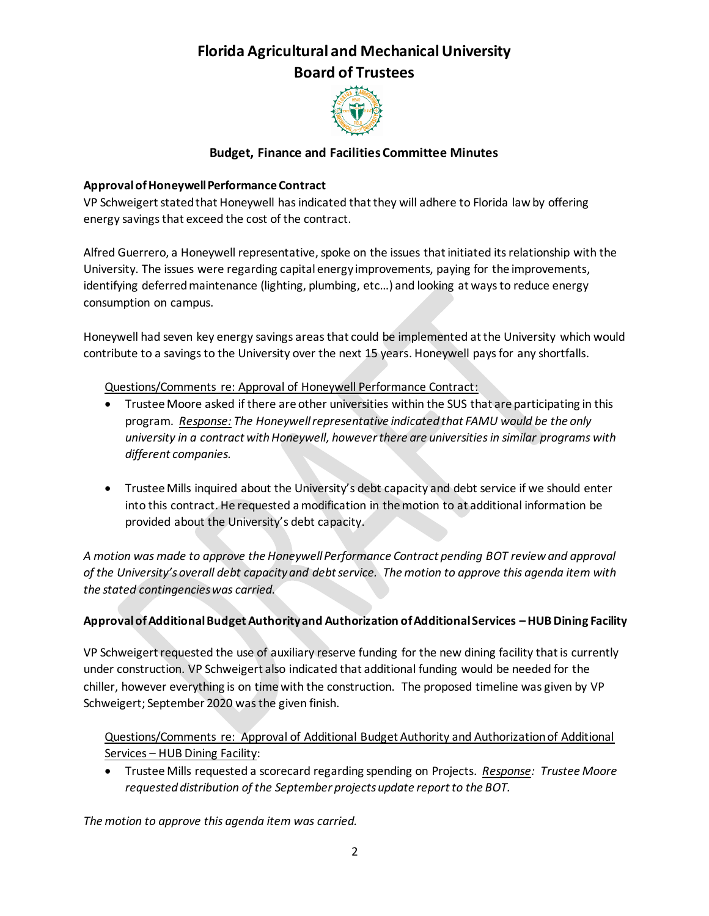

## **Budget, Finance and Facilities Committee Minutes**

#### **Approval of Honeywell Performance Contract**

VP Schweigert stated that Honeywell has indicated that they will adhere to Florida law by offering energy savings that exceed the cost of the contract.

Alfred Guerrero, a Honeywell representative, spoke on the issues that initiated its relationship with the University. The issues were regarding capital energy improvements, paying for the improvements, identifying deferred maintenance (lighting, plumbing, etc…) and looking at ways to reduce energy consumption on campus.

Honeywell had seven key energy savings areas that could be implemented at the University which would contribute to a savings to the University over the next 15 years. Honeywell pays for any shortfalls.

## Questions/Comments re: Approval of Honeywell Performance Contract:

- Trustee Moore asked if there are other universities within the SUS that are participating in this program. *Response: The Honeywell representative indicated that FAMU would be the only university in a contract with Honeywell, however there are universities in similar programs with different companies.*
- Trustee Mills inquired about the University's debt capacity and debt service if we should enter into this contract. He requested a modification in the motion to at additional information be provided about the University's debt capacity.

*A motion was made to approve the Honeywell Performance Contract pending BOT review and approval of the University's overall debt capacity and debt service. The motion to approve this agenda item with the stated contingencies was carried.*

## **Approval of Additional Budget Authority and Authorization of Additional Services –HUB Dining Facility**

VP Schweigert requested the use of auxiliary reserve funding for the new dining facility that is currently under construction. VP Schweigert also indicated that additional funding would be needed for the chiller, however everything is on time with the construction. The proposed timeline was given by VP Schweigert; September 2020 was the given finish.

## Questions/Comments re: Approval of Additional Budget Authority and Authorization of Additional Services – HUB Dining Facility:

 Trustee Mills requested a scorecard regarding spending on Projects. *Response: Trustee Moore requested distribution of the September projects update report to the BOT.*

*The motion to approve this agenda item was carried.*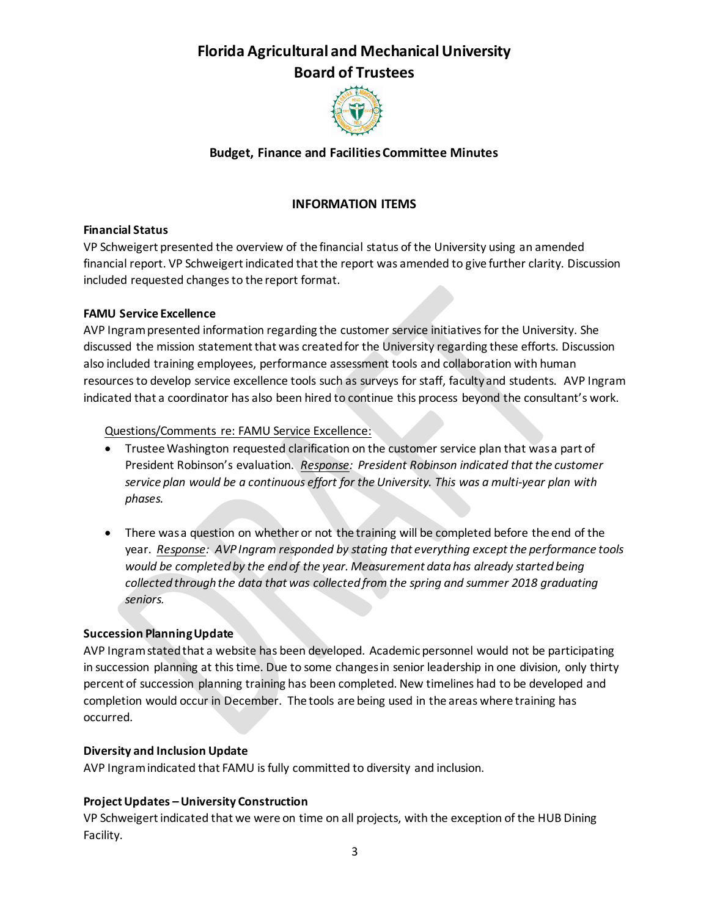

## **Budget, Finance and Facilities Committee Minutes**

## **INFORMATION ITEMS**

#### **Financial Status**

VP Schweigert presented the overview of the financial status of the University using an amended financial report. VP Schweigert indicated that the report was amended to give further clarity. Discussion included requested changes to the report format.

## **FAMU Service Excellence**

AVP Ingram presented information regarding the customer service initiatives for the University. She discussed the mission statement that was created for the University regarding these efforts. Discussion also included training employees, performance assessment tools and collaboration with human resources to develop service excellence tools such as surveys for staff, faculty and students. AVP Ingram indicated that a coordinator has also been hired to continue this process beyond the consultant's work.

#### Questions/Comments re: FAMU Service Excellence:

- Trustee Washington requested clarification on the customer service plan that was a part of President Robinson's evaluation. *Response: President Robinson indicated that the customer service plan would be a continuous effort for the University. This was a multi-year plan with phases.*
- There was a question on whether or not the training will be completed before the end of the year. *Response: AVP Ingram responded by stating that everything except the performance tools would be completed by the end of the year. Measurement data has already started being collected through the data that was collected from the spring and summer 2018 graduating seniors.*

## **Succession Planning Update**

AVP Ingram stated that a website has been developed. Academic personnel would not be participating in succession planning at this time. Due to some changes in senior leadership in one division, only thirty percent of succession planning training has been completed. New timelines had to be developed and completion would occur in December. The tools are being used in the areas where training has occurred.

#### **Diversity and Inclusion Update**

AVP Ingram indicated that FAMU is fully committed to diversity and inclusion.

## **Project Updates –University Construction**

VP Schweigert indicated that we were on time on all projects, with the exception of the HUB Dining Facility.